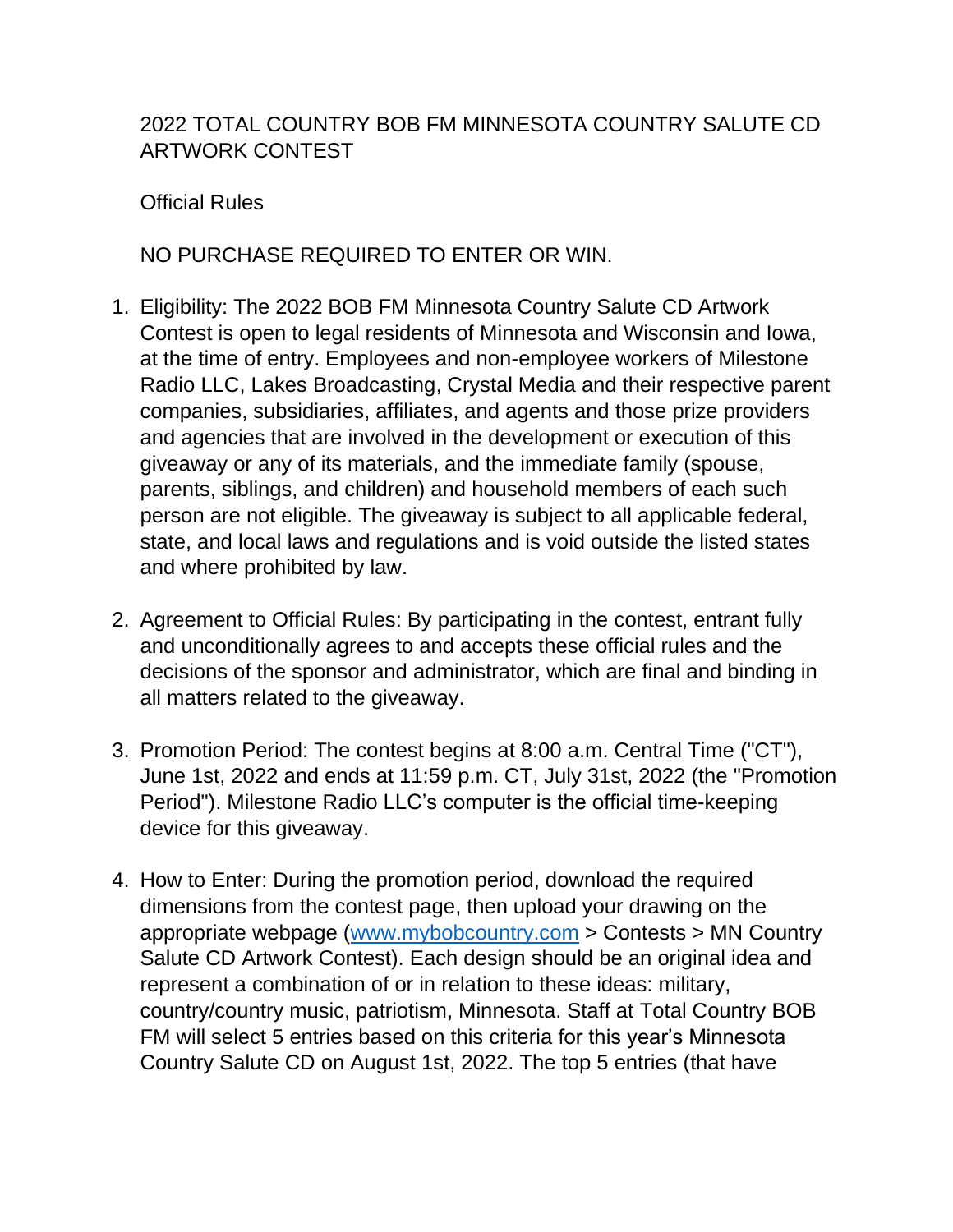## 2022 TOTAL COUNTRY BOB FM MINNESOTA COUNTRY SALUTE CD ARTWORK CONTEST

Official Rules

NO PURCHASE REQUIRED TO ENTER OR WIN.

- 1. Eligibility: The 2022 BOB FM Minnesota Country Salute CD Artwork Contest is open to legal residents of Minnesota and Wisconsin and Iowa, at the time of entry. Employees and non-employee workers of Milestone Radio LLC, Lakes Broadcasting, Crystal Media and their respective parent companies, subsidiaries, affiliates, and agents and those prize providers and agencies that are involved in the development or execution of this giveaway or any of its materials, and the immediate family (spouse, parents, siblings, and children) and household members of each such person are not eligible. The giveaway is subject to all applicable federal, state, and local laws and regulations and is void outside the listed states and where prohibited by law.
- 2. Agreement to Official Rules: By participating in the contest, entrant fully and unconditionally agrees to and accepts these official rules and the decisions of the sponsor and administrator, which are final and binding in all matters related to the giveaway.
- 3. Promotion Period: The contest begins at 8:00 a.m. Central Time ("CT"), June 1st, 2022 and ends at 11:59 p.m. CT, July 31st, 2022 (the "Promotion Period"). Milestone Radio LLC's computer is the official time-keeping device for this giveaway.
- 4. How to Enter: During the promotion period, download the required dimensions from the contest page, then upload your drawing on the appropriate webpage [\(www.mybobcountry.com](http://www.mybobcountry.com/) > Contests > MN Country Salute CD Artwork Contest). Each design should be an original idea and represent a combination of or in relation to these ideas: military, country/country music, patriotism, Minnesota. Staff at Total Country BOB FM will select 5 entries based on this criteria for this year's Minnesota Country Salute CD on August 1st, 2022. The top 5 entries (that have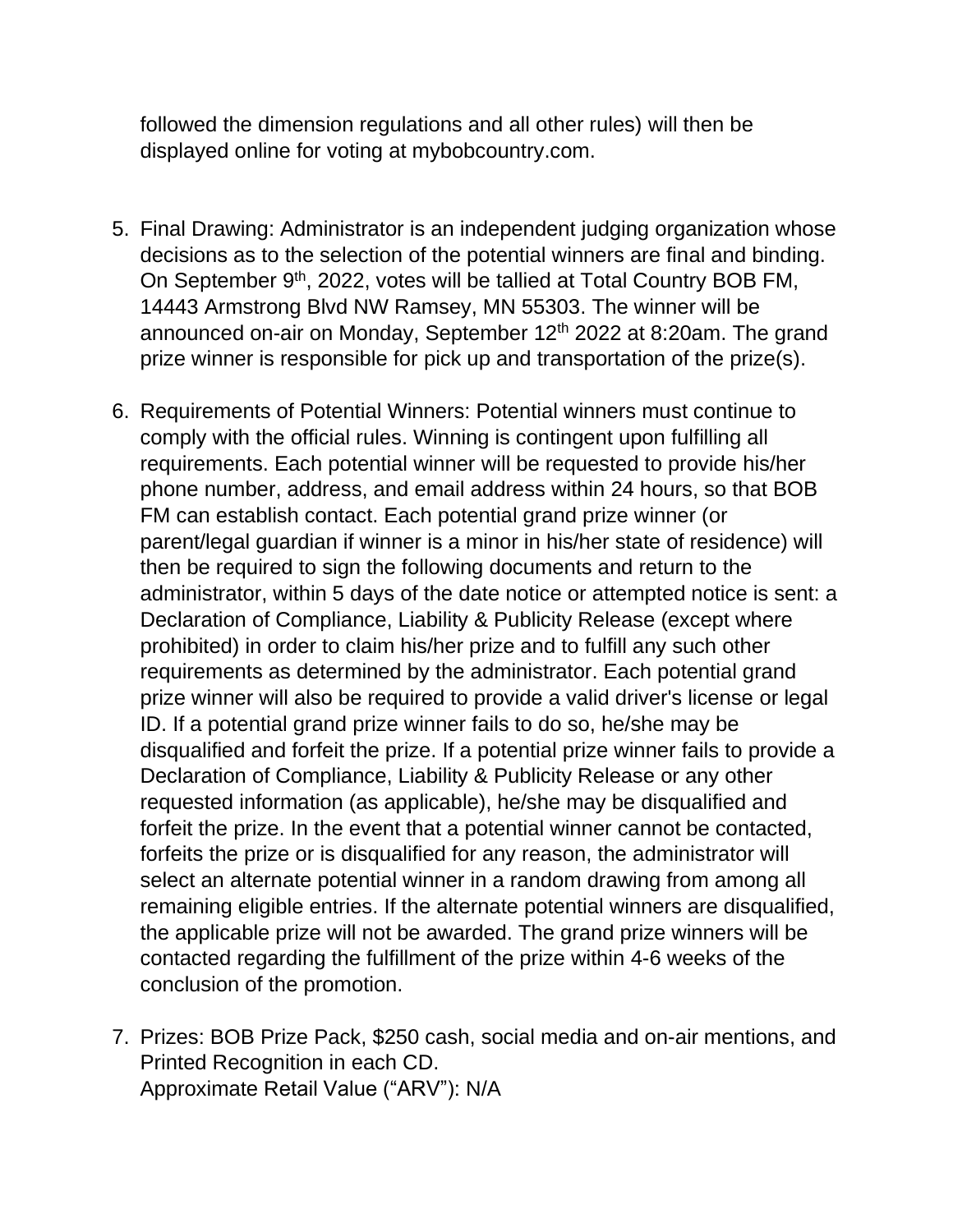followed the dimension regulations and all other rules) will then be displayed online for voting at mybobcountry.com.

- 5. Final Drawing: Administrator is an independent judging organization whose decisions as to the selection of the potential winners are final and binding. On September 9<sup>th</sup>, 2022, votes will be tallied at Total Country BOB FM, 14443 Armstrong Blvd NW Ramsey, MN 55303. The winner will be announced on-air on Monday, September 12<sup>th</sup> 2022 at 8:20am. The grand prize winner is responsible for pick up and transportation of the prize(s).
- 6. Requirements of Potential Winners: Potential winners must continue to comply with the official rules. Winning is contingent upon fulfilling all requirements. Each potential winner will be requested to provide his/her phone number, address, and email address within 24 hours, so that BOB FM can establish contact. Each potential grand prize winner (or parent/legal guardian if winner is a minor in his/her state of residence) will then be required to sign the following documents and return to the administrator, within 5 days of the date notice or attempted notice is sent: a Declaration of Compliance, Liability & Publicity Release (except where prohibited) in order to claim his/her prize and to fulfill any such other requirements as determined by the administrator. Each potential grand prize winner will also be required to provide a valid driver's license or legal ID. If a potential grand prize winner fails to do so, he/she may be disqualified and forfeit the prize. If a potential prize winner fails to provide a Declaration of Compliance, Liability & Publicity Release or any other requested information (as applicable), he/she may be disqualified and forfeit the prize. In the event that a potential winner cannot be contacted, forfeits the prize or is disqualified for any reason, the administrator will select an alternate potential winner in a random drawing from among all remaining eligible entries. If the alternate potential winners are disqualified, the applicable prize will not be awarded. The grand prize winners will be contacted regarding the fulfillment of the prize within 4-6 weeks of the conclusion of the promotion.
- 7. Prizes: BOB Prize Pack, \$250 cash, social media and on-air mentions, and Printed Recognition in each CD. Approximate Retail Value ("ARV"): N/A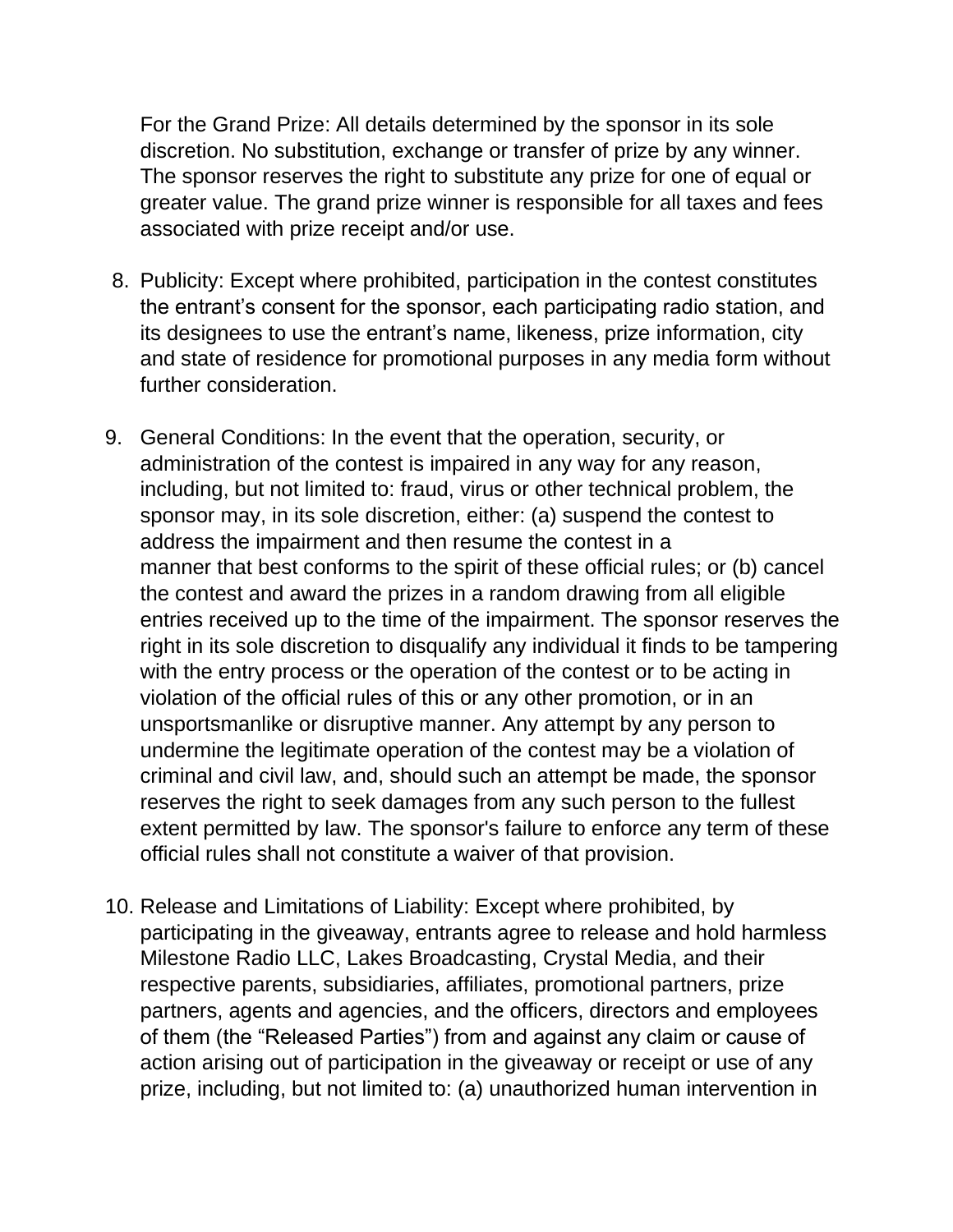For the Grand Prize: All details determined by the sponsor in its sole discretion. No substitution, exchange or transfer of prize by any winner. The sponsor reserves the right to substitute any prize for one of equal or greater value. The grand prize winner is responsible for all taxes and fees associated with prize receipt and/or use.

- 8. Publicity: Except where prohibited, participation in the contest constitutes the entrant's consent for the sponsor, each participating radio station, and its designees to use the entrant's name, likeness, prize information, city and state of residence for promotional purposes in any media form without further consideration.
- 9. General Conditions: In the event that the operation, security, or administration of the contest is impaired in any way for any reason, including, but not limited to: fraud, virus or other technical problem, the sponsor may, in its sole discretion, either: (a) suspend the contest to address the impairment and then resume the contest in a manner that best conforms to the spirit of these official rules; or (b) cancel the contest and award the prizes in a random drawing from all eligible entries received up to the time of the impairment. The sponsor reserves the right in its sole discretion to disqualify any individual it finds to be tampering with the entry process or the operation of the contest or to be acting in violation of the official rules of this or any other promotion, or in an unsportsmanlike or disruptive manner. Any attempt by any person to undermine the legitimate operation of the contest may be a violation of criminal and civil law, and, should such an attempt be made, the sponsor reserves the right to seek damages from any such person to the fullest extent permitted by law. The sponsor's failure to enforce any term of these official rules shall not constitute a waiver of that provision.
- 10. Release and Limitations of Liability: Except where prohibited, by participating in the giveaway, entrants agree to release and hold harmless Milestone Radio LLC, Lakes Broadcasting, Crystal Media, and their respective parents, subsidiaries, affiliates, promotional partners, prize partners, agents and agencies, and the officers, directors and employees of them (the "Released Parties") from and against any claim or cause of action arising out of participation in the giveaway or receipt or use of any prize, including, but not limited to: (a) unauthorized human intervention in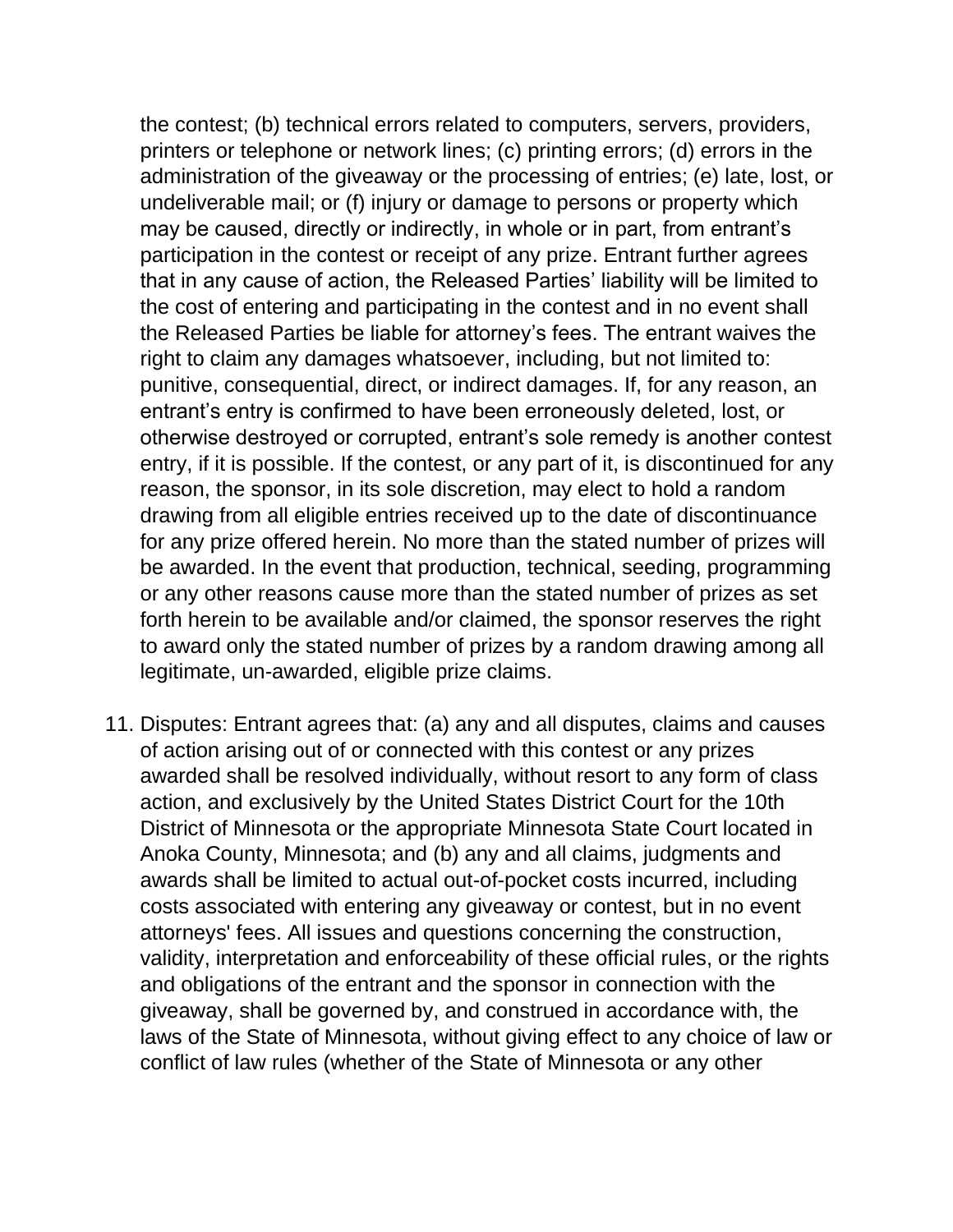the contest; (b) technical errors related to computers, servers, providers, printers or telephone or network lines; (c) printing errors; (d) errors in the administration of the giveaway or the processing of entries; (e) late, lost, or undeliverable mail; or (f) injury or damage to persons or property which may be caused, directly or indirectly, in whole or in part, from entrant's participation in the contest or receipt of any prize. Entrant further agrees that in any cause of action, the Released Parties' liability will be limited to the cost of entering and participating in the contest and in no event shall the Released Parties be liable for attorney's fees. The entrant waives the right to claim any damages whatsoever, including, but not limited to: punitive, consequential, direct, or indirect damages. If, for any reason, an entrant's entry is confirmed to have been erroneously deleted, lost, or otherwise destroyed or corrupted, entrant's sole remedy is another contest entry, if it is possible. If the contest, or any part of it, is discontinued for any reason, the sponsor, in its sole discretion, may elect to hold a random drawing from all eligible entries received up to the date of discontinuance for any prize offered herein. No more than the stated number of prizes will be awarded. In the event that production, technical, seeding, programming or any other reasons cause more than the stated number of prizes as set forth herein to be available and/or claimed, the sponsor reserves the right to award only the stated number of prizes by a random drawing among all legitimate, un-awarded, eligible prize claims.

11. Disputes: Entrant agrees that: (a) any and all disputes, claims and causes of action arising out of or connected with this contest or any prizes awarded shall be resolved individually, without resort to any form of class action, and exclusively by the United States District Court for the 10th District of Minnesota or the appropriate Minnesota State Court located in Anoka County, Minnesota; and (b) any and all claims, judgments and awards shall be limited to actual out-of-pocket costs incurred, including costs associated with entering any giveaway or contest, but in no event attorneys' fees. All issues and questions concerning the construction, validity, interpretation and enforceability of these official rules, or the rights and obligations of the entrant and the sponsor in connection with the giveaway, shall be governed by, and construed in accordance with, the laws of the State of Minnesota, without giving effect to any choice of law or conflict of law rules (whether of the State of Minnesota or any other